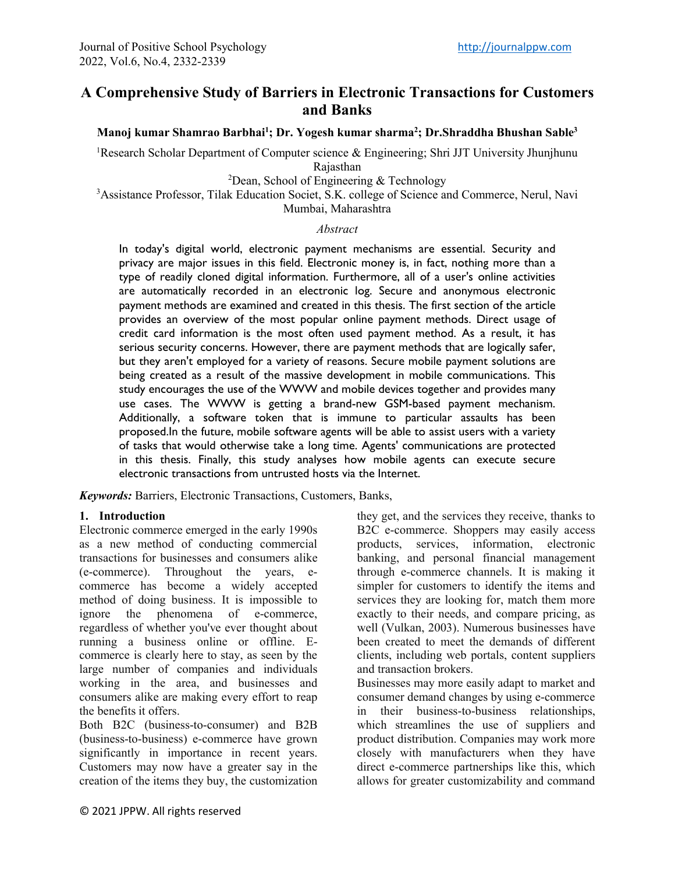# **A Comprehensive Study of Barriers in Electronic Transactions for Customers and Banks**

**Manoj kumar Shamrao Barbhai1 ; Dr. Yogesh kumar sharma2 ; Dr.Shraddha Bhushan Sable3**

<sup>1</sup>Research Scholar Department of Computer science & Engineering; Shri JJT University Jhunjhunu

Rajasthan

 $2$ Dean, School of Engineering & Technology

<sup>3</sup>Assistance Professor, Tilak Education Societ, S.K. college of Science and Commerce, Nerul, Navi Mumbai, Maharashtra

#### *Abstract*

In today's digital world, electronic payment mechanisms are essential. Security and privacy are major issues in this field. Electronic money is, in fact, nothing more than a type of readily cloned digital information. Furthermore, all of a user's online activities are automatically recorded in an electronic log. Secure and anonymous electronic payment methods are examined and created in this thesis. The first section of the article provides an overview of the most popular online payment methods. Direct usage of credit card information is the most often used payment method. As a result, it has serious security concerns. However, there are payment methods that are logically safer, but they aren't employed for a variety of reasons. Secure mobile payment solutions are being created as a result of the massive development in mobile communications. This study encourages the use of the WWW and mobile devices together and provides many use cases. The WWW is getting a brand-new GSM-based payment mechanism. Additionally, a software token that is immune to particular assaults has been proposed.In the future, mobile software agents will be able to assist users with a variety of tasks that would otherwise take a long time. Agents' communications are protected in this thesis. Finally, this study analyses how mobile agents can execute secure electronic transactions from untrusted hosts via the Internet.

*Keywords:* Barriers, Electronic Transactions, Customers, Banks,

#### **1. Introduction**

Electronic commerce emerged in the early 1990s as a new method of conducting commercial transactions for businesses and consumers alike (e-commerce). Throughout the years, ecommerce has become a widely accepted method of doing business. It is impossible to ignore the phenomena of e-commerce, regardless of whether you've ever thought about running a business online or offline. Ecommerce is clearly here to stay, as seen by the large number of companies and individuals working in the area, and businesses and consumers alike are making every effort to reap the benefits it offers.

Both B2C (business-to-consumer) and B2B (business-to-business) e-commerce have grown significantly in importance in recent years. Customers may now have a greater say in the creation of the items they buy, the customization they get, and the services they receive, thanks to B2C e-commerce. Shoppers may easily access products, services, information, electronic banking, and personal financial management through e-commerce channels. It is making it simpler for customers to identify the items and services they are looking for, match them more exactly to their needs, and compare pricing, as well (Vulkan, 2003). Numerous businesses have been created to meet the demands of different clients, including web portals, content suppliers and transaction brokers.

Businesses may more easily adapt to market and consumer demand changes by using e-commerce in their business-to-business relationships, which streamlines the use of suppliers and product distribution. Companies may work more closely with manufacturers when they have direct e-commerce partnerships like this, which allows for greater customizability and command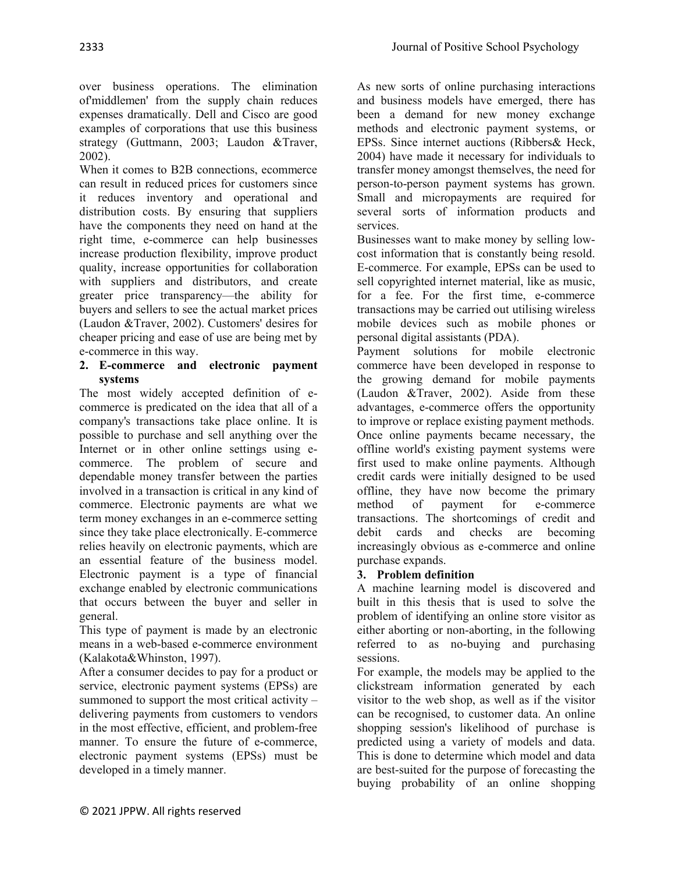over business operations. The elimination of'middlemen' from the supply chain reduces expenses dramatically. Dell and Cisco are good examples of corporations that use this business strategy (Guttmann, 2003; Laudon &Traver, 2002).

When it comes to B2B connections, ecommerce can result in reduced prices for customers since it reduces inventory and operational and distribution costs. By ensuring that suppliers have the components they need on hand at the right time, e-commerce can help businesses increase production flexibility, improve product quality, increase opportunities for collaboration with suppliers and distributors, and create greater price transparency—the ability for buyers and sellers to see the actual market prices (Laudon &Traver, 2002). Customers' desires for cheaper pricing and ease of use are being met by e-commerce in this way.

#### **2. E-commerce and electronic payment systems**

The most widely accepted definition of ecommerce is predicated on the idea that all of a company's transactions take place online. It is possible to purchase and sell anything over the Internet or in other online settings using ecommerce. The problem of secure and dependable money transfer between the parties involved in a transaction is critical in any kind of commerce. Electronic payments are what we term money exchanges in an e-commerce setting since they take place electronically. E-commerce relies heavily on electronic payments, which are an essential feature of the business model. Electronic payment is a type of financial exchange enabled by electronic communications that occurs between the buyer and seller in general.

This type of payment is made by an electronic means in a web-based e-commerce environment (Kalakota&Whinston, 1997).

After a consumer decides to pay for a product or service, electronic payment systems (EPSs) are summoned to support the most critical activity – delivering payments from customers to vendors in the most effective, efficient, and problem-free manner. To ensure the future of e-commerce, electronic payment systems (EPSs) must be developed in a timely manner.

As new sorts of online purchasing interactions and business models have emerged, there has been a demand for new money exchange methods and electronic payment systems, or EPSs. Since internet auctions (Ribbers& Heck, 2004) have made it necessary for individuals to transfer money amongst themselves, the need for person-to-person payment systems has grown. Small and micropayments are required for several sorts of information products and services.

Businesses want to make money by selling lowcost information that is constantly being resold. E-commerce. For example, EPSs can be used to sell copyrighted internet material, like as music, for a fee. For the first time, e-commerce transactions may be carried out utilising wireless mobile devices such as mobile phones or personal digital assistants (PDA).

Payment solutions for mobile electronic commerce have been developed in response to the growing demand for mobile payments (Laudon &Traver, 2002). Aside from these advantages, e-commerce offers the opportunity to improve or replace existing payment methods. Once online payments became necessary, the offline world's existing payment systems were first used to make online payments. Although credit cards were initially designed to be used offline, they have now become the primary method of payment for e-commerce transactions. The shortcomings of credit and debit cards and checks are becoming increasingly obvious as e-commerce and online purchase expands.

# **3. Problem definition**

A machine learning model is discovered and built in this thesis that is used to solve the problem of identifying an online store visitor as either aborting or non-aborting, in the following referred to as no-buying and purchasing sessions.

For example, the models may be applied to the clickstream information generated by each visitor to the web shop, as well as if the visitor can be recognised, to customer data. An online shopping session's likelihood of purchase is predicted using a variety of models and data. This is done to determine which model and data are best-suited for the purpose of forecasting the buying probability of an online shopping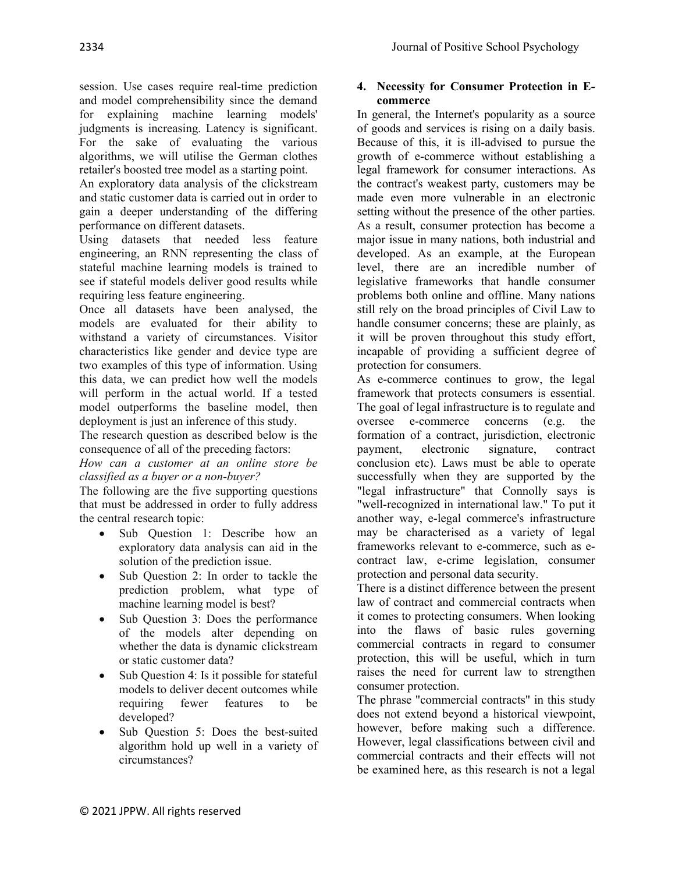session. Use cases require real-time prediction and model comprehensibility since the demand for explaining machine learning models' judgments is increasing. Latency is significant. For the sake of evaluating the various algorithms, we will utilise the German clothes retailer's boosted tree model as a starting point.

An exploratory data analysis of the clickstream and static customer data is carried out in order to gain a deeper understanding of the differing performance on different datasets.

Using datasets that needed less feature engineering, an RNN representing the class of stateful machine learning models is trained to see if stateful models deliver good results while requiring less feature engineering.

Once all datasets have been analysed, the models are evaluated for their ability to withstand a variety of circumstances. Visitor characteristics like gender and device type are two examples of this type of information. Using this data, we can predict how well the models will perform in the actual world. If a tested model outperforms the baseline model, then deployment is just an inference of this study.

The research question as described below is the consequence of all of the preceding factors:

*How can a customer at an online store be classified as a buyer or a non-buyer?*

The following are the five supporting questions that must be addressed in order to fully address the central research topic:

- Sub Question 1: Describe how an exploratory data analysis can aid in the solution of the prediction issue.
- Sub Question 2: In order to tackle the prediction problem, what type of machine learning model is best?
- Sub Question 3: Does the performance of the models alter depending on whether the data is dynamic clickstream or static customer data?
- ∑ Sub Question 4: Is it possible for stateful models to deliver decent outcomes while requiring fewer features to be developed?
- ∑ Sub Question 5: Does the best-suited algorithm hold up well in a variety of circumstances?

#### **4. Necessity for Consumer Protection in Ecommerce**

In general, the Internet's popularity as a source of goods and services is rising on a daily basis. Because of this, it is ill-advised to pursue the growth of e-commerce without establishing a legal framework for consumer interactions. As the contract's weakest party, customers may be made even more vulnerable in an electronic setting without the presence of the other parties. As a result, consumer protection has become a major issue in many nations, both industrial and developed. As an example, at the European level, there are an incredible number of legislative frameworks that handle consumer problems both online and offline. Many nations still rely on the broad principles of Civil Law to handle consumer concerns; these are plainly, as it will be proven throughout this study effort, incapable of providing a sufficient degree of protection for consumers.

As e-commerce continues to grow, the legal framework that protects consumers is essential. The goal of legal infrastructure is to regulate and oversee e-commerce concerns (e.g. the formation of a contract, jurisdiction, electronic payment, electronic signature, contract conclusion etc). Laws must be able to operate successfully when they are supported by the "legal infrastructure" that Connolly says is "well-recognized in international law." To put it another way, e-legal commerce's infrastructure may be characterised as a variety of legal frameworks relevant to e-commerce, such as econtract law, e-crime legislation, consumer protection and personal data security.

There is a distinct difference between the present law of contract and commercial contracts when it comes to protecting consumers. When looking into the flaws of basic rules governing commercial contracts in regard to consumer protection, this will be useful, which in turn raises the need for current law to strengthen consumer protection.

The phrase "commercial contracts" in this study does not extend beyond a historical viewpoint, however, before making such a difference. However, legal classifications between civil and commercial contracts and their effects will not be examined here, as this research is not a legal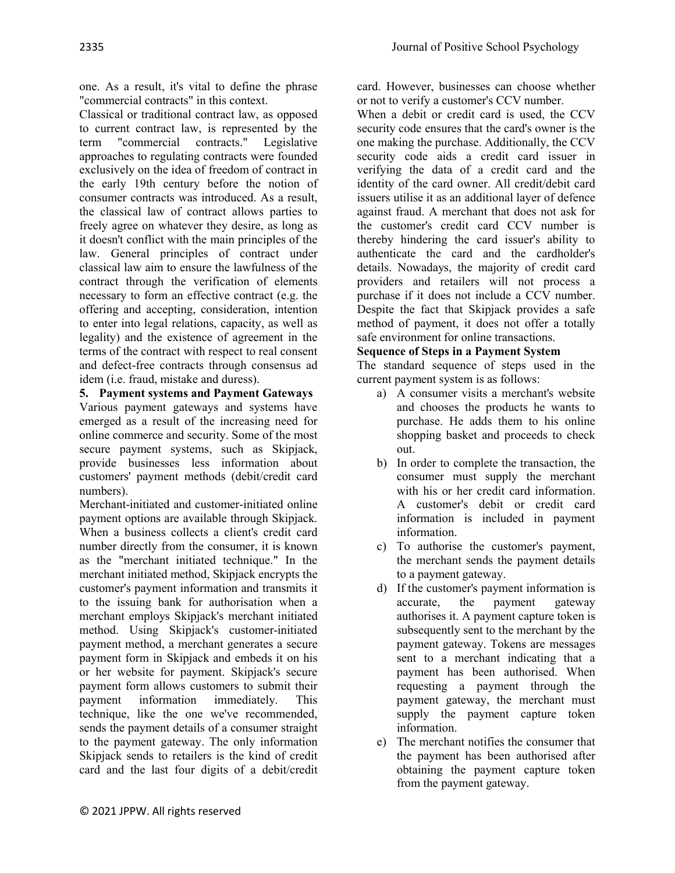one. As a result, it's vital to define the phrase "commercial contracts" in this context.

Classical or traditional contract law, as opposed to current contract law, is represented by the term "commercial contracts." Legislative approaches to regulating contracts were founded exclusively on the idea of freedom of contract in the early 19th century before the notion of consumer contracts was introduced. As a result, the classical law of contract allows parties to freely agree on whatever they desire, as long as it doesn't conflict with the main principles of the law. General principles of contract under classical law aim to ensure the lawfulness of the contract through the verification of elements necessary to form an effective contract (e.g. the offering and accepting, consideration, intention to enter into legal relations, capacity, as well as legality) and the existence of agreement in the terms of the contract with respect to real consent and defect-free contracts through consensus ad idem (i.e. fraud, mistake and duress).

**5. Payment systems and Payment Gateways** Various payment gateways and systems have emerged as a result of the increasing need for online commerce and security. Some of the most secure payment systems, such as Skipjack, provide businesses less information about customers' payment methods (debit/credit card numbers).

Merchant-initiated and customer-initiated online payment options are available through Skipjack. When a business collects a client's credit card number directly from the consumer, it is known as the "merchant initiated technique." In the merchant initiated method, Skipjack encrypts the customer's payment information and transmits it to the issuing bank for authorisation when a merchant employs Skipjack's merchant initiated method. Using Skipjack's customer-initiated payment method, a merchant generates a secure payment form in Skipjack and embeds it on his or her website for payment. Skipjack's secure payment form allows customers to submit their payment information immediately. This technique, like the one we've recommended, sends the payment details of a consumer straight to the payment gateway. The only information Skipjack sends to retailers is the kind of credit card and the last four digits of a debit/credit

card. However, businesses can choose whether or not to verify a customer's CCV number.

When a debit or credit card is used, the CCV security code ensures that the card's owner is the one making the purchase. Additionally, the CCV security code aids a credit card issuer in verifying the data of a credit card and the identity of the card owner. All credit/debit card issuers utilise it as an additional layer of defence against fraud. A merchant that does not ask for the customer's credit card CCV number is thereby hindering the card issuer's ability to authenticate the card and the cardholder's details. Nowadays, the majority of credit card providers and retailers will not process a purchase if it does not include a CCV number. Despite the fact that Skipjack provides a safe method of payment, it does not offer a totally safe environment for online transactions.

## **Sequence of Steps in a Payment System**

The standard sequence of steps used in the current payment system is as follows:

- a) A consumer visits a merchant's website and chooses the products he wants to purchase. He adds them to his online shopping basket and proceeds to check out.
- b) In order to complete the transaction, the consumer must supply the merchant with his or her credit card information. A customer's debit or credit card information is included in payment information.
- c) To authorise the customer's payment, the merchant sends the payment details to a payment gateway.
- d) If the customer's payment information is accurate, the payment gateway authorises it. A payment capture token is subsequently sent to the merchant by the payment gateway. Tokens are messages sent to a merchant indicating that a payment has been authorised. When requesting a payment through the payment gateway, the merchant must supply the payment capture token information.
- e) The merchant notifies the consumer that the payment has been authorised after obtaining the payment capture token from the payment gateway.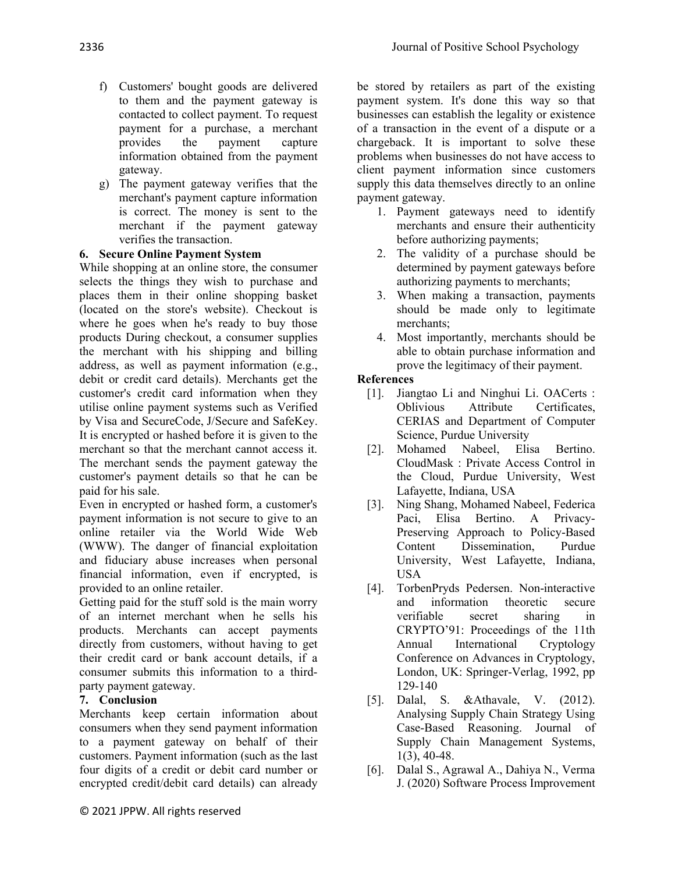- f) Customers' bought goods are delivered to them and the payment gateway is contacted to collect payment. To request payment for a purchase, a merchant provides the payment capture information obtained from the payment gateway.
- g) The payment gateway verifies that the merchant's payment capture information is correct. The money is sent to the merchant if the payment gateway verifies the transaction.

### **6. Secure Online Payment System**

While shopping at an online store, the consumer selects the things they wish to purchase and places them in their online shopping basket (located on the store's website). Checkout is where he goes when he's ready to buy those products During checkout, a consumer supplies the merchant with his shipping and billing address, as well as payment information (e.g., debit or credit card details). Merchants get the customer's credit card information when they utilise online payment systems such as Verified by Visa and SecureCode, J/Secure and SafeKey. It is encrypted or hashed before it is given to the merchant so that the merchant cannot access it. The merchant sends the payment gateway the customer's payment details so that he can be paid for his sale.

Even in encrypted or hashed form, a customer's payment information is not secure to give to an online retailer via the World Wide Web (WWW). The danger of financial exploitation and fiduciary abuse increases when personal financial information, even if encrypted, is provided to an online retailer.

Getting paid for the stuff sold is the main worry of an internet merchant when he sells his products. Merchants can accept payments directly from customers, without having to get their credit card or bank account details, if a consumer submits this information to a thirdparty payment gateway.

### **7. Conclusion**

Merchants keep certain information about consumers when they send payment information to a payment gateway on behalf of their customers. Payment information (such as the last four digits of a credit or debit card number or encrypted credit/debit card details) can already

be stored by retailers as part of the existing payment system. It's done this way so that businesses can establish the legality or existence of a transaction in the event of a dispute or a chargeback. It is important to solve these problems when businesses do not have access to client payment information since customers supply this data themselves directly to an online payment gateway.

- 1. Payment gateways need to identify merchants and ensure their authenticity before authorizing payments;
- 2. The validity of a purchase should be determined by payment gateways before authorizing payments to merchants;
- 3. When making a transaction, payments should be made only to legitimate merchants;
- 4. Most importantly, merchants should be able to obtain purchase information and prove the legitimacy of their payment.

#### **References**

- [1]. Jiangtao Li and Ninghui Li. OACerts : Oblivious Attribute Certificates, CERIAS and Department of Computer Science, Purdue University
- [2]. Mohamed Nabeel, Elisa Bertino. CloudMask : Private Access Control in the Cloud, Purdue University, West Lafayette, Indiana, USA
- [3]. Ning Shang, Mohamed Nabeel, Federica Paci, Elisa Bertino. A Privacy-Preserving Approach to Policy-Based Content Dissemination, Purdue University, West Lafayette, Indiana, USA
- [4]. TorbenPryds Pedersen. Non-interactive and information theoretic secure verifiable secret sharing in CRYPTO'91: Proceedings of the 11th Annual International Cryptology Conference on Advances in Cryptology, London, UK: Springer-Verlag, 1992, pp 129-140
- [5]. Dalal, S. &Athavale, V. (2012). Analysing Supply Chain Strategy Using Case-Based Reasoning. Journal of Supply Chain Management Systems, 1(3), 40-48.
- [6]. Dalal S., Agrawal A., Dahiya N., Verma J. (2020) Software Process Improvement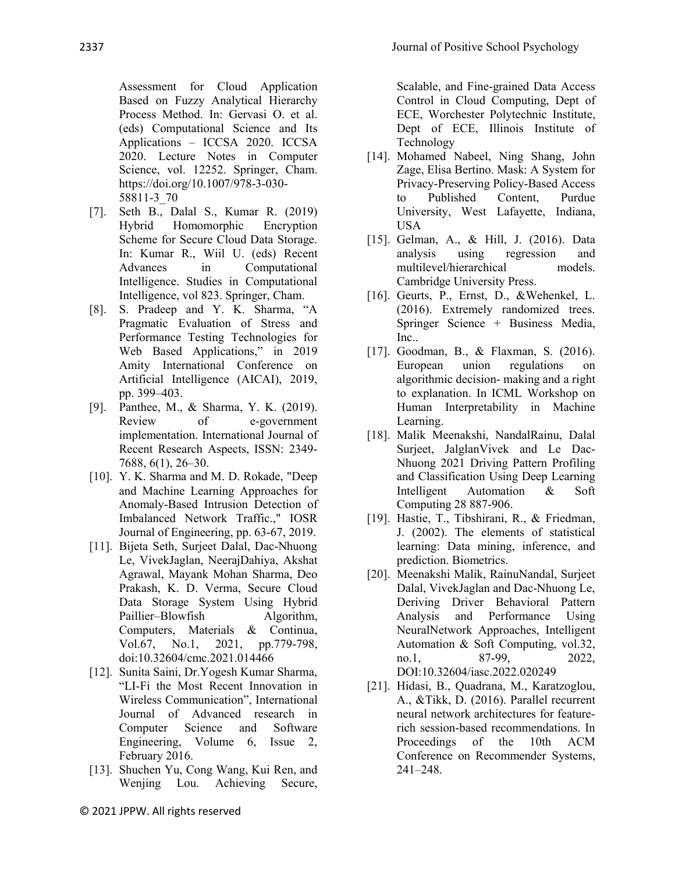Assessment for Cloud Application Based on Fuzzy Analytical Hierarchy Process Method. In: Gervasi O. et al. (eds) Computational Science and Its Applications – ICCSA 2020. ICCSA 2020. Lecture Notes in Computer Science, vol. 12252. Springer, Cham. https://doi.org/10.1007/978-3-030- 58811-3\_70

- [7]. Seth B., Dalal S., Kumar R. (2019) Hybrid Homomorphic Encryption Scheme for Secure Cloud Data Storage. In: Kumar R., Wiil U. (eds) Recent Advances in Computational Intelligence. Studies in Computational Intelligence, vol 823. Springer, Cham.
- [8]. S. Pradeep and Y. K. Sharma, "A Pragmatic Evaluation of Stress and Performance Testing Technologies for Web Based Applications," in 2019 Amity International Conference on Artificial Intelligence (AICAI), 2019, pp. 399–403.
- [9]. Panthee, M., & Sharma, Y. K. (2019). Review of e-government implementation. International Journal of Recent Research Aspects, ISSN: 2349- 7688, 6(1), 26–30.
- [10]. Y. K. Sharma and M. D. Rokade, "Deep and Machine Learning Approaches for Anomaly-Based Intrusion Detection of Imbalanced Network Traffic.," IOSR Journal of Engineering, pp. 63-67, 2019.
- [11]. Bijeta Seth, Surjeet Dalal, Dac-Nhuong Le, VivekJaglan, NeerajDahiya, Akshat Agrawal, Mayank Mohan Sharma, Deo Prakash, K. D. Verma, Secure Cloud Data Storage System Using Hybrid Paillier–Blowfish Algorithm, Computers, Materials & Continua, Vol.67, No.1, 2021, pp.779-798, doi:10.32604/cmc.2021.014466
- [12]. Sunita Saini, Dr.Yogesh Kumar Sharma, "LI-Fi the Most Recent Innovation in Wireless Communication", International Journal of Advanced research in Computer Science and Software Engineering, Volume 6, Issue 2, February 2016.
- [13]. Shuchen Yu, Cong Wang, Kui Ren, and Wenjing Lou. Achieving Secure,

Scalable, and Fine-grained Data Access Control in Cloud Computing, Dept of ECE, Worchester Polytechnic Institute, Dept of ECE, Illinois Institute of Technology

- [14]. Mohamed Nabeel, Ning Shang, John Zage, Elisa Bertino. Mask: A System for Privacy-Preserving Policy-Based Access to Published Content, Purdue University, West Lafayette, Indiana, USA
- [15]. Gelman, A., & Hill, J. (2016). Data analysis using regression and multilevel/hierarchical models. Cambridge University Press.
- [16]. Geurts, P., Ernst, D., &Wehenkel, L. (2016). Extremely randomized trees. Springer Science + Business Media, Inc..
- [17]. Goodman, B., & Flaxman, S. (2016). European union regulations on algorithmic decision- making and a right to explanation. In ICML Workshop on Human Interpretability in Machine Learning.
- [18]. Malik Meenakshi, NandalRainu, Dalal Surjeet, JalglanVivek and Le Dac-Nhuong 2021 Driving Pattern Profiling and Classification Using Deep Learning Intelligent Automation & Soft Computing 28 887-906.
- [19]. Hastie, T., Tibshirani, R., & Friedman, J. (2002). The elements of statistical learning: Data mining, inference, and prediction. Biometrics.
- [20]. Meenakshi Malik, RainuNandal, Surjeet Dalal, VivekJaglan and Dac-Nhuong Le, Deriving Driver Behavioral Pattern Analysis and Performance Using NeuralNetwork Approaches, Intelligent Automation & Soft Computing, vol.32, no.1, 87-99, 2022, DOI:10.32604/iasc.2022.020249
- [21]. Hidasi, B., Quadrana, M., Karatzoglou, A., &Tikk, D. (2016). Parallel recurrent neural network architectures for featurerich session-based recommendations. In Proceedings of the 10th ACM Conference on Recommender Systems, 241–248.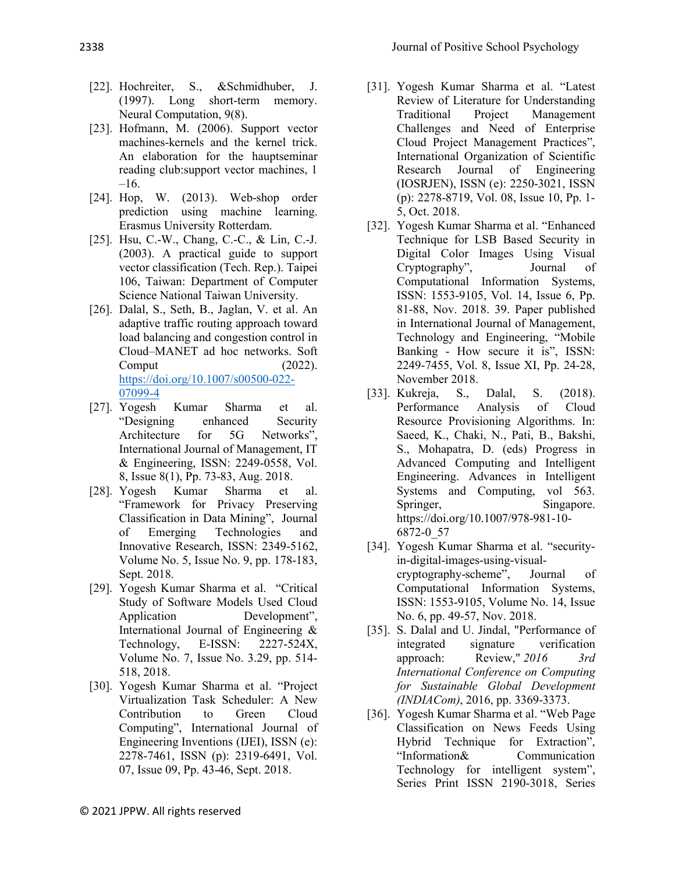- [22]. Hochreiter, S., &Schmidhuber, J. (1997). Long short-term memory. Neural Computation, 9(8).
- [23]. Hofmann, M. (2006). Support vector machines-kernels and the kernel trick. An elaboration for the hauptseminar reading club:support vector machines, 1 –16.
- [24]. Hop, W. (2013). Web-shop order prediction using machine learning. Erasmus University Rotterdam.
- [25]. Hsu, C.-W., Chang, C.-C., & Lin, C.-J. (2003). A practical guide to support vector classification (Tech. Rep.). Taipei 106, Taiwan: Department of Computer Science National Taiwan University.
- [26]. Dalal, S., Seth, B., Jaglan, V. et al. An adaptive traffic routing approach toward load balancing and congestion control in Cloud–MANET ad hoc networks. Soft  $\text{Comput}$  (2022). [https://doi.org/10.1007/s00500-022-](https://doi.org/10.1007/s00500-022-07099-4) [07099-4](https://doi.org/10.1007/s00500-022-07099-4)
- [27]. Yogesh Kumar Sharma et al. "Designing enhanced Security Architecture for 5G Networks", International Journal of Management, IT & Engineering, ISSN: 2249-0558, Vol. 8, Issue 8(1), Pp. 73-83, Aug. 2018.
- [28]. Yogesh Kumar Sharma et al. "Framework for Privacy Preserving Classification in Data Mining", Journal of Emerging Technologies and Innovative Research, ISSN: 2349-5162, Volume No. 5, Issue No. 9, pp. 178-183, Sept. 2018.
- [29]. Yogesh Kumar Sharma et al. "Critical Study of Software Models Used Cloud Application Development", International Journal of Engineering & Technology, E-ISSN: 2227-524X, Volume No. 7, Issue No. 3.29, pp. 514- 518, 2018.
- [30]. Yogesh Kumar Sharma et al. "Project Virtualization Task Scheduler: A New Contribution to Green Cloud Computing", International Journal of Engineering Inventions (IJEI), ISSN (e): 2278-7461, ISSN (p): 2319-6491, Vol. 07, Issue 09, Pp. 43-46, Sept. 2018.
- [31]. Yogesh Kumar Sharma et al. "Latest Review of Literature for Understanding Traditional Project Management Challenges and Need of Enterprise Cloud Project Management Practices", International Organization of Scientific Research Journal of Engineering (IOSRJEN), ISSN (e): 2250-3021, ISSN (p): 2278-8719, Vol. 08, Issue 10, Pp. 1- 5, Oct. 2018.
- [32]. Yogesh Kumar Sharma et al. "Enhanced Technique for LSB Based Security in Digital Color Images Using Visual Cryptography", Journal of Computational Information Systems, ISSN: 1553-9105, Vol. 14, Issue 6, Pp. 81-88, Nov. 2018. 39. Paper published in International Journal of Management, Technology and Engineering, "Mobile Banking - How secure it is", ISSN: 2249-7455, Vol. 8, Issue XI, Pp. 24-28, November 2018.
- [33]. Kukreja, S., Dalal, S. (2018). Performance Analysis of Cloud Resource Provisioning Algorithms. In: Saeed, K., Chaki, N., Pati, B., Bakshi, S., Mohapatra, D. (eds) Progress in Advanced Computing and Intelligent Engineering. Advances in Intelligent Systems and Computing, vol 563. Springer, Singapore. https://doi.org/10.1007/978-981-10- 6872-0\_57
- [34]. Yogesh Kumar Sharma et al. "securityin-digital-images-using-visualcryptography-scheme", Journal of Computational Information Systems, ISSN: 1553-9105, Volume No. 14, Issue No. 6, pp. 49-57, Nov. 2018.
- [35]. S. Dalal and U. Jindal, "Performance of integrated signature verification approach: Review," *2016 3rd International Conference on Computing for Sustainable Global Development (INDIACom)*, 2016, pp. 3369-3373.
- [36]. Yogesh Kumar Sharma et al. "Web Page Classification on News Feeds Using Hybrid Technique for Extraction", "Information& Communication Technology for intelligent system", Series Print ISSN 2190-3018, Series